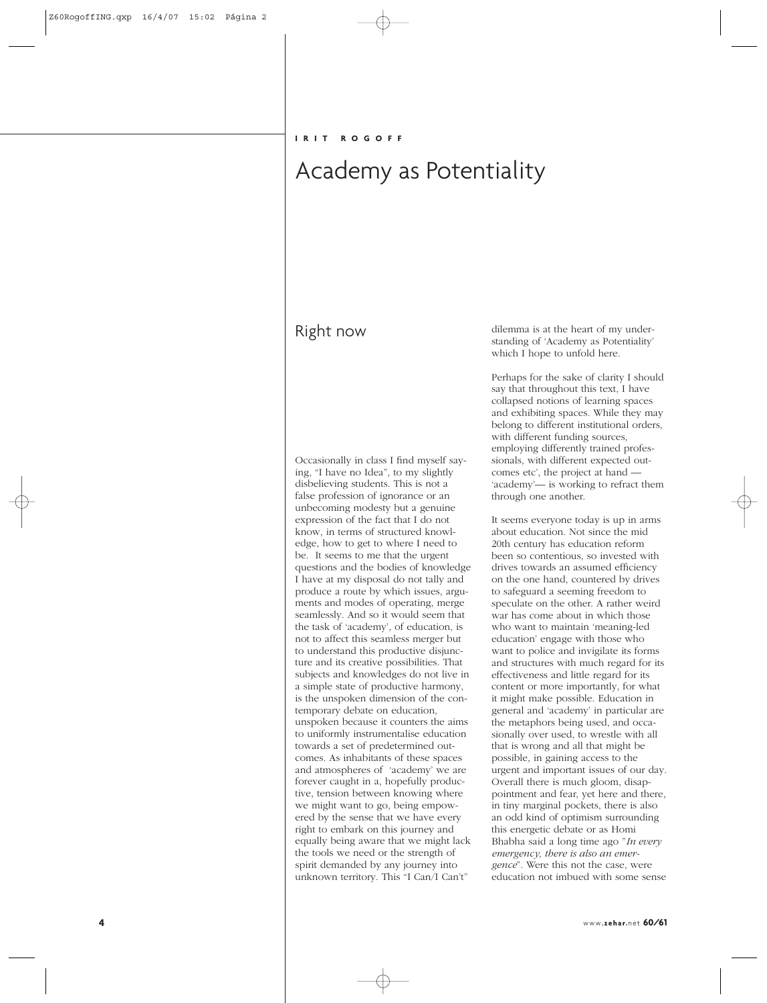## **IRIT ROGOFF**

# Academy as Potentiality

## Right now

Occasionally in class I find myself saying, "I have no Idea", to my slightly disbelieving students. This is not a false profession of ignorance or an unbecoming modesty but a genuine expression of the fact that I do not know, in terms of structured knowledge, how to get to where I need to be. It seems to me that the urgent questions and the bodies of knowledge I have at my disposal do not tally and produce a route by which issues, arguments and modes of operating, merge seamlessly. And so it would seem that the task of 'academy', of education, is not to affect this seamless merger but to understand this productive disjuncture and its creative possibilities. That subjects and knowledges do not live in a simple state of productive harmony, is the unspoken dimension of the contemporary debate on education, unspoken because it counters the aims to uniformly instrumentalise education towards a set of predetermined outcomes. As inhabitants of these spaces and atmospheres of 'academy' we are forever caught in a, hopefully productive, tension between knowing where we might want to go, being empowered by the sense that we have every right to embark on this journey and equally being aware that we might lack the tools we need or the strength of spirit demanded by any journey into unknown territory. This "I Can/I Can't"

dilemma is at the heart of my understanding of 'Academy as Potentiality' which I hope to unfold here.

Perhaps for the sake of clarity I should say that throughout this text, I have collapsed notions of learning spaces and exhibiting spaces. While they may belong to different institutional orders, with different funding sources, employing differently trained professionals, with different expected outcomes etc', the project at hand — 'academy'— is working to refract them through one another.

It seems everyone today is up in arms about education. Not since the mid 20th century has education reform been so contentious, so invested with drives towards an assumed efficiency on the one hand, countered by drives to safeguard a seeming freedom to speculate on the other. A rather weird war has come about in which those who want to maintain 'meaning-led education' engage with those who want to police and invigilate its forms and structures with much regard for its effectiveness and little regard for its content or more importantly, for what it might make possible. Education in general and 'academy' in particular are the metaphors being used, and occasionally over used, to wrestle with all that is wrong and all that might be possible, in gaining access to the urgent and important issues of our day. Overall there is much gloom, disappointment and fear, yet here and there, in tiny marginal pockets, there is also an odd kind of optimism surrounding this energetic debate or as Homi Bhabha said a long time ago "*In every emergency, there is also an emergence*". Were this not the case, were education not imbued with some sense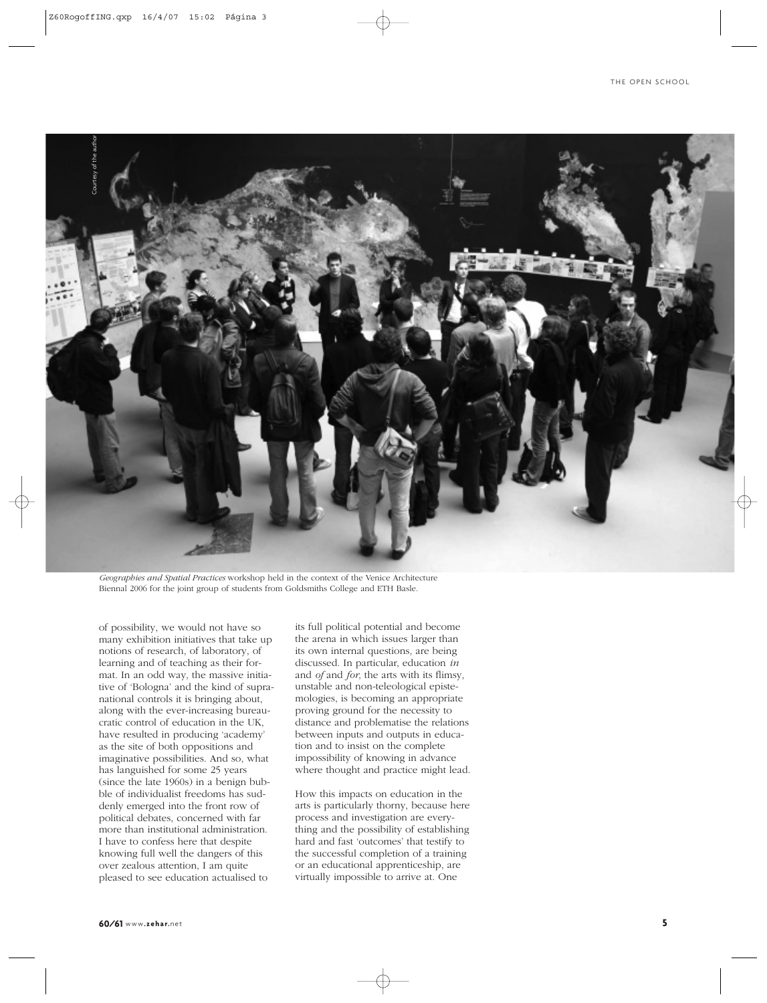

*Geographies and Spatial Practices* workshop held in the context of the Venice Architecture Biennal 2006 for the joint group of students from Goldsmiths College and ETH Basle.

of possibility, we would not have so many exhibition initiatives that take up notions of research, of laboratory, of learning and of teaching as their format. In an odd way, the massive initiative of 'Bologna' and the kind of supranational controls it is bringing about, along with the ever-increasing bureaucratic control of education in the UK, have resulted in producing 'academy' as the site of both oppositions and imaginative possibilities. And so, what has languished for some 25 years (since the late 1960s) in a benign bubble of individualist freedoms has suddenly emerged into the front row of political debates, concerned with far more than institutional administration. I have to confess here that despite knowing full well the dangers of this over zealous attention, I am quite pleased to see education actualised to

its full political potential and become the arena in which issues larger than its own internal questions, are being discussed. In particular, education *in* and *of* and *for*, the arts with its flimsy, unstable and non-teleological epistemologies, is becoming an appropriate proving ground for the necessity to distance and problematise the relations between inputs and outputs in education and to insist on the complete impossibility of knowing in advance where thought and practice might lead.

How this impacts on education in the arts is particularly thorny, because here process and investigation are everything and the possibility of establishing hard and fast 'outcomes' that testify to the successful completion of a training or an educational apprenticeship, are virtually impossible to arrive at. One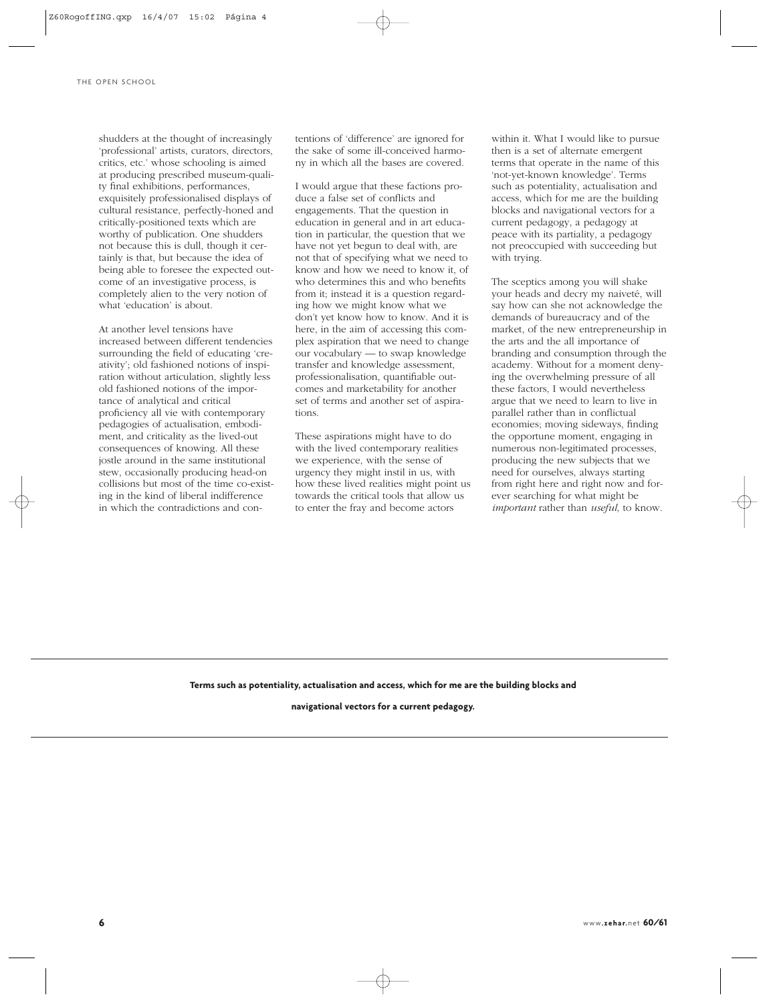shudders at the thought of increasingly 'professional' artists, curators, directors, critics, etc.' whose schooling is aimed at producing prescribed museum-quality final exhibitions, performances, exquisitely professionalised displays of cultural resistance, perfectly-honed and critically-positioned texts which are worthy of publication. One shudders not because this is dull, though it certainly is that, but because the idea of being able to foresee the expected outcome of an investigative process, is completely alien to the very notion of what 'education' is about.

At another level tensions have increased between different tendencies surrounding the field of educating 'creativity'; old fashioned notions of inspiration without articulation, slightly less old fashioned notions of the importance of analytical and critical proficiency all vie with contemporary pedagogies of actualisation, embodiment, and criticality as the lived-out consequences of knowing. All these jostle around in the same institutional stew, occasionally producing head-on collisions but most of the time co-existing in the kind of liberal indifference in which the contradictions and contentions of 'difference' are ignored for the sake of some ill-conceived harmony in which all the bases are covered.

I would argue that these factions produce a false set of conflicts and engagements. That the question in education in general and in art education in particular, the question that we have not yet begun to deal with, are not that of specifying what we need to know and how we need to know it, of who determines this and who benefits from it; instead it is a question regarding how we might know what we don't yet know how to know. And it is here, in the aim of accessing this complex aspiration that we need to change our vocabulary — to swap knowledge transfer and knowledge assessment, professionalisation, quantifiable outcomes and marketability for another set of terms and another set of aspirations.

These aspirations might have to do with the lived contemporary realities we experience, with the sense of urgency they might instil in us, with how these lived realities might point us towards the critical tools that allow us to enter the fray and become actors

within it. What I would like to pursue then is a set of alternate emergent terms that operate in the name of this 'not-yet-known knowledge'. Terms such as potentiality, actualisation and access, which for me are the building blocks and navigational vectors for a current pedagogy, a pedagogy at peace with its partiality, a pedagogy not preoccupied with succeeding but with trying.

The sceptics among you will shake your heads and decry my naiveté, will say how can she not acknowledge the demands of bureaucracy and of the market, of the new entrepreneurship in the arts and the all importance of branding and consumption through the academy. Without for a moment denying the overwhelming pressure of all these factors, I would nevertheless argue that we need to learn to live in parallel rather than in conflictual economies; moving sideways, finding the opportune moment, engaging in numerous non-legitimated processes, producing the new subjects that we need for ourselves, always starting from right here and right now and forever searching for what might be *important* rather than *useful,* to know.

### **Terms such as potentiality, actualisation and access, which for me are the building blocks and**

**navigational vectors for a current pedagogy.**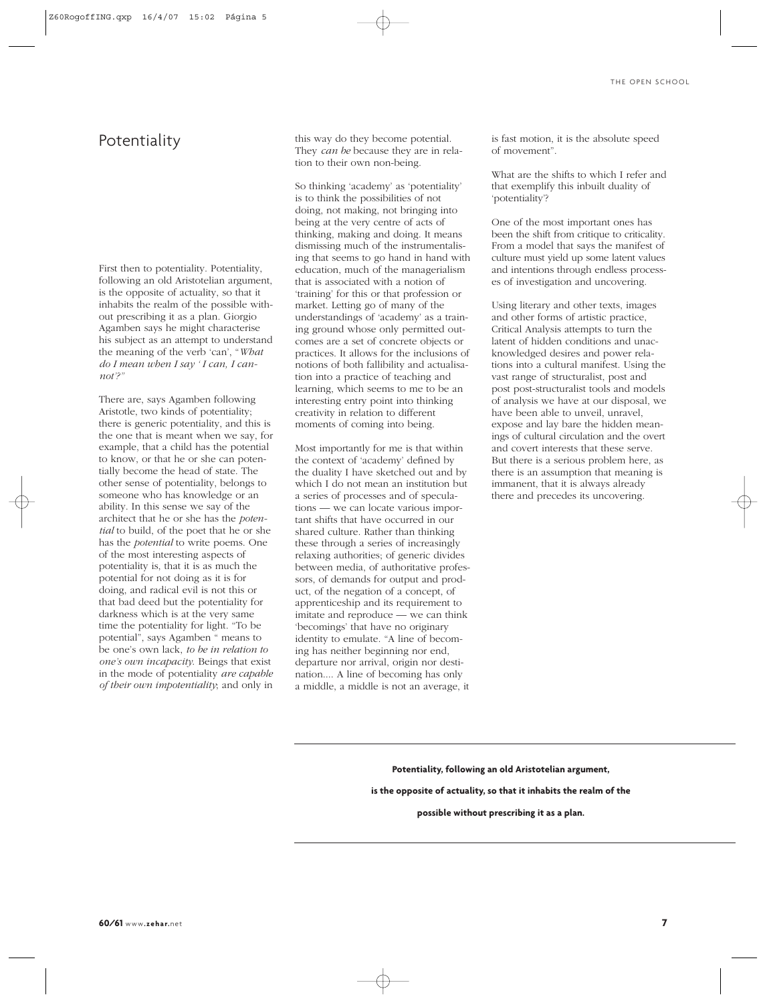First then to potentiality. Potentiality, following an old Aristotelian argument, is the opposite of actuality, so that it inhabits the realm of the possible without prescribing it as a plan. Giorgio Agamben says he might characterise his subject as an attempt to understand the meaning of the verb 'can', "*What do I mean when I say ' I can, I cannot'?"*

There are, says Agamben following Aristotle, two kinds of potentiality; there is generic potentiality, and this is the one that is meant when we say, for example, that a child has the potential to know, or that he or she can potentially become the head of state. The other sense of potentiality, belongs to someone who has knowledge or an ability. In this sense we say of the architect that he or she has the *potential* to build, of the poet that he or she has the *potential* to write poems. One of the most interesting aspects of potentiality is, that it is as much the potential for not doing as it is for doing, and radical evil is not this or that bad deed but the potentiality for darkness which is at the very same time the potentiality for light. "To be potential", says Agamben " means to be one's own lack, *to be in relation to one's own incapacity*. Beings that exist in the mode of potentiality *are capable of their own impotentiality*; and only in this way do they become potential. They *can be* because they are in relation to their own non-being.

So thinking 'academy' as 'potentiality' is to think the possibilities of not doing, not making, not bringing into being at the very centre of acts of thinking, making and doing. It means dismissing much of the instrumentalising that seems to go hand in hand with education, much of the managerialism that is associated with a notion of 'training' for this or that profession or market. Letting go of many of the understandings of 'academy' as a training ground whose only permitted outcomes are a set of concrete objects or practices. It allows for the inclusions of notions of both fallibility and actualisation into a practice of teaching and learning, which seems to me to be an interesting entry point into thinking creativity in relation to different moments of coming into being.

Most importantly for me is that within the context of 'academy' defined by the duality I have sketched out and by which I do not mean an institution but a series of processes and of speculations — we can locate various important shifts that have occurred in our shared culture. Rather than thinking these through a series of increasingly relaxing authorities; of generic divides between media, of authoritative professors, of demands for output and product, of the negation of a concept, of apprenticeship and its requirement to imitate and reproduce — we can think 'becomings' that have no originary identity to emulate. "A line of becoming has neither beginning nor end, departure nor arrival, origin nor destination.... A line of becoming has only a middle, a middle is not an average, it

Potentiality this way do they become potential. is fast motion, it is the absolute speed of movement".

> What are the shifts to which I refer and that exemplify this inbuilt duality of 'potentiality'?

> One of the most important ones has been the shift from critique to criticality. From a model that says the manifest of culture must yield up some latent values and intentions through endless processes of investigation and uncovering.

> Using literary and other texts, images and other forms of artistic practice, Critical Analysis attempts to turn the latent of hidden conditions and unacknowledged desires and power relations into a cultural manifest. Using the vast range of structuralist, post and post post-structuralist tools and models of analysis we have at our disposal, we have been able to unveil, unravel, expose and lay bare the hidden meanings of cultural circulation and the overt and covert interests that these serve. But there is a serious problem here, as there is an assumption that meaning is immanent, that it is always already there and precedes its uncovering.

**Potentiality, following an old Aristotelian argument,** 

**is the opposite of actuality, so that it inhabits the realm of the** 

**possible without prescribing it as a plan.**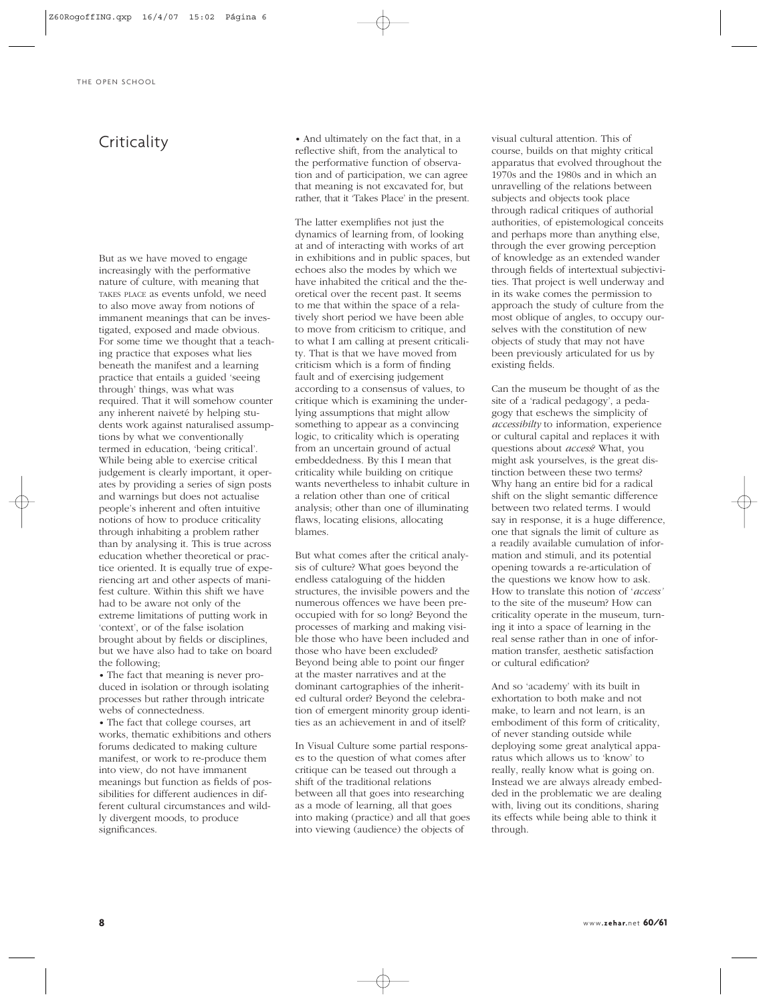## **Criticality**

But as we have moved to engage increasingly with the performative nature of culture, with meaning that TAKES PLACE as events unfold, we need to also move away from notions of immanent meanings that can be investigated, exposed and made obvious. For some time we thought that a teaching practice that exposes what lies beneath the manifest and a learning practice that entails a guided 'seeing through' things, was what was required. That it will somehow counter any inherent naiveté by helping students work against naturalised assumptions by what we conventionally termed in education, 'being critical'. While being able to exercise critical judgement is clearly important, it operates by providing a series of sign posts and warnings but does not actualise people's inherent and often intuitive notions of how to produce criticality through inhabiting a problem rather than by analysing it. This is true across education whether theoretical or practice oriented. It is equally true of experiencing art and other aspects of manifest culture. Within this shift we have had to be aware not only of the extreme limitations of putting work in 'context', or of the false isolation brought about by fields or disciplines, but we have also had to take on board the following;

• The fact that meaning is never produced in isolation or through isolating processes but rather through intricate webs of connectedness.

• The fact that college courses, art works, thematic exhibitions and others forums dedicated to making culture manifest, or work to re-produce them into view, do not have immanent meanings but function as fields of possibilities for different audiences in different cultural circumstances and wildly divergent moods, to produce significances.

• And ultimately on the fact that, in a reflective shift, from the analytical to the performative function of observation and of participation, we can agree that meaning is not excavated for, but rather, that it 'Takes Place' in the present.

The latter exemplifies not just the dynamics of learning from, of looking at and of interacting with works of art in exhibitions and in public spaces, but echoes also the modes by which we have inhabited the critical and the theoretical over the recent past. It seems to me that within the space of a relatively short period we have been able to move from criticism to critique, and to what I am calling at present criticality. That is that we have moved from criticism which is a form of finding fault and of exercising judgement according to a consensus of values, to critique which is examining the underlying assumptions that might allow something to appear as a convincing logic, to criticality which is operating from an uncertain ground of actual embeddedness. By this I mean that criticality while building on critique wants nevertheless to inhabit culture in a relation other than one of critical analysis; other than one of illuminating flaws, locating elisions, allocating blames.

But what comes after the critical analysis of culture? What goes beyond the endless cataloguing of the hidden structures, the invisible powers and the numerous offences we have been preoccupied with for so long? Beyond the processes of marking and making visible those who have been included and those who have been excluded? Beyond being able to point our finger at the master narratives and at the dominant cartographies of the inherited cultural order? Beyond the celebration of emergent minority group identities as an achievement in and of itself?

In Visual Culture some partial responses to the question of what comes after critique can be teased out through a shift of the traditional relations between all that goes into researching as a mode of learning, all that goes into making (practice) and all that goes into viewing (audience) the objects of

visual cultural attention. This of course, builds on that mighty critical apparatus that evolved throughout the 1970s and the 1980s and in which an unravelling of the relations between subjects and objects took place through radical critiques of authorial authorities, of epistemological conceits and perhaps more than anything else, through the ever growing perception of knowledge as an extended wander through fields of intertextual subjectivities. That project is well underway and in its wake comes the permission to approach the study of culture from the most oblique of angles, to occupy ourselves with the constitution of new objects of study that may not have been previously articulated for us by existing fields.

Can the museum be thought of as the site of a 'radical pedagogy', a pedagogy that eschews the simplicity of *accessibilty* to information, experience or cultural capital and replaces it with questions about *access*? What, you might ask yourselves, is the great distinction between these two terms? Why hang an entire bid for a radical shift on the slight semantic difference between two related terms. I would say in response, it is a huge difference, one that signals the limit of culture as a readily available cumulation of information and stimuli, and its potential opening towards a re-articulation of the questions we know how to ask. How to translate this notion of '*access'* to the site of the museum? How can criticality operate in the museum, turning it into a space of learning in the real sense rather than in one of information transfer, aesthetic satisfaction or cultural edification?

And so 'academy' with its built in exhortation to both make and not make, to learn and not learn, is an embodiment of this form of criticality, of never standing outside while deploying some great analytical apparatus which allows us to 'know' to really, really know what is going on. Instead we are always already embedded in the problematic we are dealing with, living out its conditions, sharing its effects while being able to think it through.